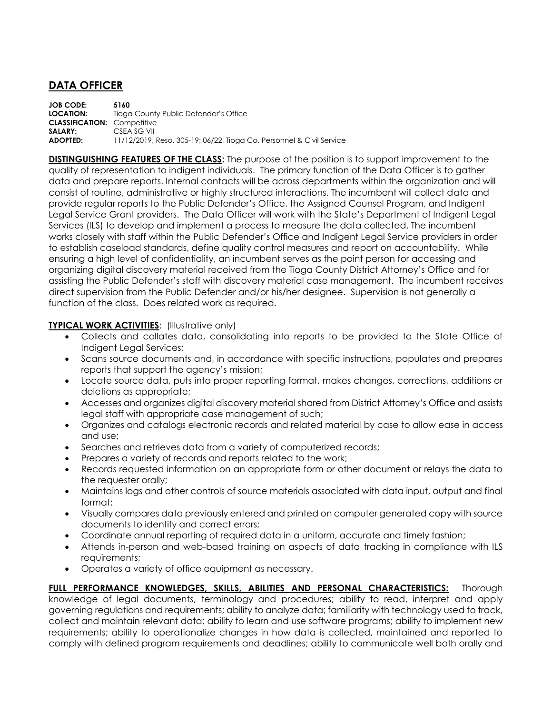## **DATA OFFICER**

**JOB CODE: 5160 Tioga County Public Defender's Office CLASSIFICATION:** Competitive **SALARY:** CSEA SG VII **ADOPTED:** 11/12/2019, Reso. 305-19; 06/22, Tioga Co. Personnel & Civil Service

**DISTINGUISHING FEATURES OF THE CLASS:** The purpose of the position is to support improvement to the quality of representation to indigent individuals. The primary function of the Data Officer is to gather data and prepare reports. Internal contacts will be across departments within the organization and will consist of routine, administrative or highly structured interactions. The incumbent will collect data and provide regular reports to the Public Defender's Office, the Assigned Counsel Program, and Indigent Legal Service Grant providers. The Data Officer will work with the State's Department of Indigent Legal Services (ILS) to develop and implement a process to measure the data collected. The incumbent works closely with staff within the Public Defender's Office and Indigent Legal Service providers in order to establish caseload standards, define quality control measures and report on accountability. While ensuring a high level of confidentiality, an incumbent serves as the point person for accessing and organizing digital discovery material received from the Tioga County District Attorney's Office and for assisting the Public Defender's staff with discovery material case management. The incumbent receives direct supervision from the Public Defender and/or his/her designee. Supervision is not generally a function of the class. Does related work as required.

## **TYPICAL WORK ACTIVITIES: (Illustrative only)**

- Collects and collates data, consolidating into reports to be provided to the State Office of Indigent Legal Services;
- Scans source documents and, in accordance with specific instructions, populates and prepares reports that support the agency's mission;
- Locate source data, puts into proper reporting format, makes changes, corrections, additions or deletions as appropriate;
- Accesses and organizes digital discovery material shared from District Attorney's Office and assists legal staff with appropriate case management of such;
- Organizes and catalogs electronic records and related material by case to allow ease in access and use;
- Searches and retrieves data from a variety of computerized records;
- Prepares a variety of records and reports related to the work;
- Records requested information on an appropriate form or other document or relays the data to the requester orally;
- Maintains logs and other controls of source materials associated with data input, output and final format;
- Visually compares data previously entered and printed on computer generated copy with source documents to identify and correct errors;
- Coordinate annual reporting of required data in a uniform, accurate and timely fashion;
- Attends in-person and web-based training on aspects of data tracking in compliance with ILS requirements;
- Operates a variety of office equipment as necessary.

**FULL PERFORMANCE KNOWLEDGES, SKILLS, ABILITIES AND PERSONAL CHARACTERISTICS:** Thorough knowledge of legal documents, terminology and procedures; ability to read, interpret and apply governing regulations and requirements; ability to analyze data; familiarity with technology used to track, collect and maintain relevant data; ability to learn and use software programs; ability to implement new requirements; ability to operationalize changes in how data is collected, maintained and reported to comply with defined program requirements and deadlines; ability to communicate well both orally and